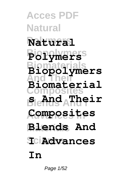**Acces PDF Natural Polymers Natural Biopolymers Polymers Biomaterials Biopolymers And Their Composites Blends And I s And Their Advances In Composites Materials Blends And**  $T$ ci**Advances Biomaterial In**

Page 1/52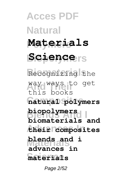**Acces PDF Natural Polymers Materials Science**rs **Biomaterials** Recognizing the way ways to get **Composites natural polymers Blends And I biopolymers Advances In their composites Materials blends and i Science materials** this books **biomaterials and advances in**

Page 2/52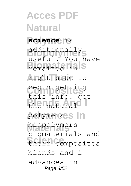**Acces PDF Natural Polymers science** is **Biopolymers** additionally **Biomaterials** remained in **And Their** right site to **Composites** begin getting Ehe<sup>n</sup>atural<sup>o</sup> polymerses In **Materials** biopolymers **Science** their composites useful. You have this info. get biomaterials and blends and i advances in Page 3/52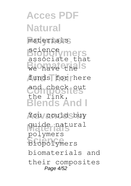**Acces PDF Natural Polymers** materials **Biopolymers** associate that **Biography** funds for here and check eut **Blends And I** You could buy **Materials** guide natural **Science** biopolymers science the link. polymers biomaterials and their composites Page 4/52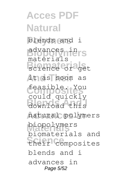**Acces PDF Natural Polymers** blends and i **Biopolymers** advances in **Biomaterials** science or get **And Their** it as soon as **Composites** feasible. You **Blends And I** download this **Advances In** natural polymers **Materials** biopolymers **Science** their composites materials could quickly biomaterials and blends and i advances in Page 5/52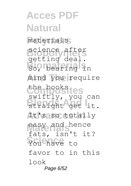**Acces PDF Natural Polymers** materials **Biopolymers** science after **Booting** about mind you require **Composites** the books **Blends And I** straight get it. It's so totally easy and hence You have to getting deal. swiftly, you can fats, isn't it? favor to in this look Page 6/52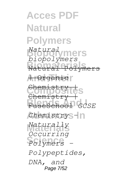**Acces PDF Natural Polymers Biopolymers** *Natural* **Biomaterials** Natural Polymers A Organic<sup>"</sup> Chemistry<br>Chemistry | **Blends And I** FuseSchool *GCSE Chemistry* - n **Materials** *Naturally* **Science** *Polymers biopolymers* Ghemis *Occurring Polypeptides, DNA, and* Page 7/52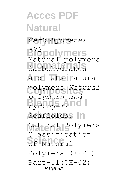### **Acces PDF Natural Polymers** *Carbohydrates* **Biopolymers** *#72* **Biomaterials** Carbohydrates **And Their** and fats natural **Composites** polymers *Natural* **Blends And I** *hydrogels* **Scaffolds:** In **Materials** Natural Polymers **Science** of Natural Natural polymers *polymers and* Classification Polymers (EPPI)- Part-01(CH-02) Page 8/52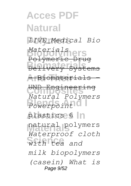### **Acces PDF Natural Polymers** *LIVE\_Medical Bio* **Biopolymers** *Materials* **Biomaterials** Delivery Systems **And Their** - Biomaterials - **Composites** UND Engineering **Blends And I** *Powerpoint* plastics 6 | n **Materials** natural polymers with tea and Polymeri *Natural Polymers Waterproof cloth milk biopolymers (casein) What is* Page 9/52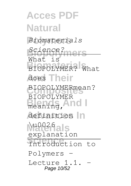### **Acces PDF Natural Polymers** *Biomaterials* **Biopolymers** *Science?* **BIOPOLYMER?** What does Their BIOPOLYMERmean? Blends And I definition In **Materials** \u0026 **Introduction** to What is BIOPOLYMER explanation Polymers Lecture 1.1. Page 10/52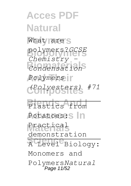**Acces PDF Natural** What are s **Biopolymers** polymers?*GCSE* **Biomaterials** *Condensation* **And Their** *Polymers* **Composites** *(Polyesters) #71* Plastics from Potatoes: In **Materials** Practical **Science** A Level Biology: *Chemistry*  demonstration Monomers and Polymers*Natural* Page 11/52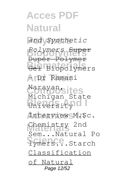**Acces PDF Natural Polymers** *and Synthetic* **Biopolymers** *Polymers* Super **Biomaterials** Gel Biopolymers **And Their** - Dr Ramani Narayan sites **Blends And I Advances In** Interview M.Sc. Chemistry 2nd **Symers...**Starch Duper Polymer Michigan State Sem...Natural Po Classification of Natural Page 12/52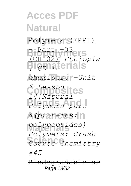**Acces PDF Natural Polymers** Polymers (EPPI) **Biopolymers** (CH-02) *Ethiopia* **Biomaterials** *| GD 12* **And Their** *chemistry -Unit* **Composites** *6-Lesson* **Blends And I** *Polymers part* **Advances In** *4(proteins:* **Materials** *polypeptides)* **Science** *Course Chemistry*  $Part -03$ *14|Natural Polymers: Crash #45* Biodegradable Page 13/52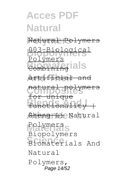### **Acces PDF Natural Polymers** Natural Polymers **Biopolymers** 003-Biological **Biomateurials And Their** artificial and **Composites** for unique **Blends And I** functionality | **Sheng Li Natural** Polymers<sub>s</sub> **Science** Biomaterials And olymers <del>natural po</del> Biopolymers Natural Polymers, Page 14/52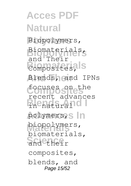**Acces PDF Natural Polymers** Biopolymers, **Biopolymers** Biomaterials, **Biomaterials** Composites, **And Their** Blends, and IPNs **Composites** focuses on the B<sub>n</sub>enatural<sup>10</sup> polymers, In **Materials** biopolymers, and their and Their recent advances biomaterials, composites, blends, and Page 15/52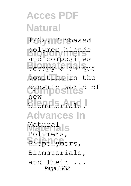**Acces PDF Natural** IPNs. Biobased polymer blends **Biomateur** position in the **Composites** dynamic world of **Blends And I** biomaterials. **Advances In** Natural<sub>a</sub> **Science** Biopolymers, and composites new Polymers, Biomaterials, and Their Page 16/52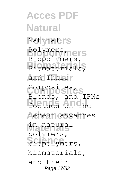**Acces PDF Natural Natural**rs **Biopolymers** Biopolymers, **Biomaterials** Biomaterials, **And Their** and Their **Composites** Composites, **Blends And I** focuses on the recent advances **Materials** in natural **Science** biopolymers, Polymers, Blends, and IPNs polymers, biomaterials, and their Page 17/52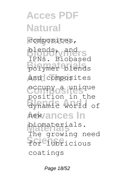### **Acces PDF Natural** composites, **blends**, and **rs Biomaterials** polymer blends and composites **Composites** occupy a unique **Blends And I** dynamic world of **Advances In** new **Materials** biomaterials. for lubricious IPNs. Biobased position in the The growing need coatings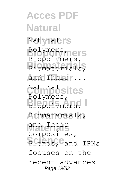**Acces PDF Natural Natural**rs **Biopolymers** Polymers, **Biomaterials** Biomaterials, **And Their** and Their ... **Composites** Natural Biopolymers, **Advances In** Biomaterials, and Their<br>Composites, **Blends, Cand IPNs** Biopolymers, Polymers, and Their focuses on the recent advances Page 19/52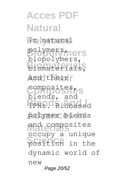**Acces PDF Natural Polymers** in natural **Biopolymers** polymers, **Biomaterials** biomaterials, and their **Composites** composites, **Blends And I** IPNs. Biobased **Advances In** polymer blends **Materials** and composites position in the biopolymers, blends, and occupy a unique dynamic world of new Page 20/52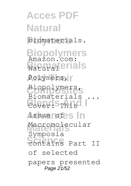**Acces PDF Natural Polymers** biomaterials. **Biopolymers Biomaterials** Polymers, **Composites** Biopolymers, **Blends** This **Advances In** issue of Macromolecular **Schifferdan**<br> **Schifferdang**<br> **Part II** Amazon.com: Biomaterials ... Symposia of selected papers presented Page 21/52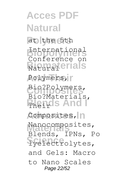**Acces PDF Natural** at the 5th **Biopolymers** International **Biomaterials** Polymers, **Composites** Bio?Polymers, **Blends And I** Composites, n Nanocomposites, **Science** lyelectrolytes, Conference on Bio?Materials, Blends, IPNs, Po and Gels: Macro to Nano Scales Page 22/52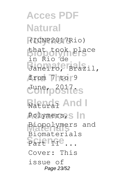**Acces PDF Natural Polymers** (ICNP2017Rio) **Biopolymers** that took place **Biomaterials** Janeiro, Brazil, from 7 to 9 **Composites** June, 2017. Ratural And I Polymers, In **Materials** Biopolymers and Science... in Rio de Biomaterials Cover: This issue of Page 23/52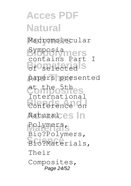**Acces PDF Natural** Macromolecular **Biopolymers** contains Part I **Biomatics** papers presented Composites **Blue Blue Line 2 Advances In** Natural Polymers, **Science** Bio?Materials, Symposia International Bio?Polymers, Their Composites, Page 24/52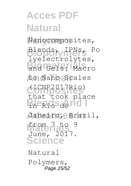## **Acces PDF Natural** Nanocomposites, **Biopolymers** Blends, IPNs, Po and Gels: Macro **And Their** to Nano Scales **Composites** that took place B<sub>neRio</sub>s<sub>de</sub>nd Janeiro, eBrazil, from 7 to 9 **Science** lyelectrolytes, (ICNP2017Rio) June, 2017. Natural

Polymers, Page 25/52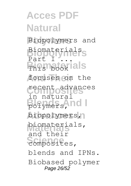### **Acces PDF Natural Polymers** Biopolymers and **Biopolymers** Biomaterials **Biomateur** focuses on the **Composites** recent advances **Blends And I** polymers, biopolymers, **Materials** biomaterials, composites, Part 1 in natural and their blends and IPNs. Biobased polymer Page 26/52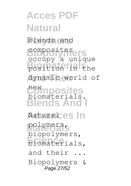**Acces PDF Natural Polymers** blends and **Biopolymers** composites **Biomaterials** position in the dynamic world of **Composites Blends And I Advances In** Natural polymers, **Science** biomaterials, occupy a unique biomaterials. biopolymers, and their Biopolymers & Page 27/52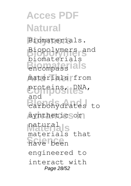**Acces PDF Natural** Biomaterials. **Biopolymers** Biopolymers and **Biomaterials** encompass materials from proteins, DNA, **Blends And I** carbohydrates to synthetic sor natural<sub>a</sub>ls **Science** have been biomaterials and materials that engineered to interact with Page 28/52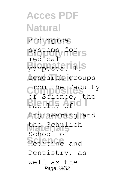**Acces PDF Natural Polymers** biological **Biopolymers** systems for **Burposes.115S** research groups **Composites** from the Faculty Faculty of O **Advances In** Engineering and **Materials** the Schulich **Science** Medicine and medical of Science, the School of Dentistry, as well as the Page 29/52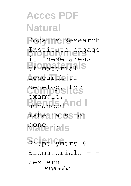# **Acces PDF Natural Polymers** Robarts Research **Biopolymers** Institute engage **Biomaterials** of material research to **Composites** develop, for **Blump Hoy Advances In** materials for **Materials** bone ... **Science** Biopolymers & in these areas example, Biomaterials Western Page 30/52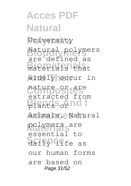### **Acces PDF Natural Polymers** University **Biopolymers** Natural polymers **Biomaterials** materials that widely occur in **Composites** nature or are **Blends And I** plants or **Advances In** animals. Natural polymers are **Science** daily life as are defined as extracted from essential to our human forms are based on Page 31/52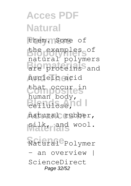# **Acces PDF Natural** them. Some of **Biopolymers** the examples of **Biomaterials** are proteins and **And Their** nucleic acid that occure in Bellulose, 10 natural rubber, **Materials** silk, and wool. **Science** Natural Polymer natural polymers human body, an overview ScienceDirect Page 32/52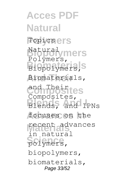**Acces PDF Natural Topicsers Biopolymers** Polymers, Biopolymers, **And Their** Biomaterials, **Composites** and Their **Blends And I** Blends, and IPNs focuses on the **Materials** recent advances polymers, Natural Composites, in natural biopolymers, biomaterials, Page 33/52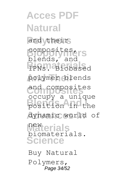**Acces PDF Natural** and their **Biopolymers** composites, **Biomaterials** IPNs. Biobased **And Their** polymer blends **Composites** and composites position in the **Advances In** dynamic world of **Materials Science** blends, and occupy a unique biomaterials. Buy Natural

Polymers, Page 34/52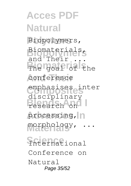**Acces PDF Natural Polymers** Biopolymers, **Biopolymers** Biomaterials, The goal of the conference **Composites** emphasises inter **Blends** Presearch on processing, n **Materials** morphology, ... **Science** International and Their disciplinary Conference on Natural Page 35/52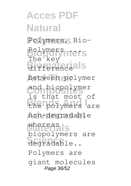**Acces PDF Natural Polymers** Polymers, Bio-**Biopolymers** Polymers ... **Biomaterials** difference **And Their** between polymer and biopolymer<br>is that most of **Blends And I** the polymers are **Advances In** non-degradable **Materials** whereas **Science** degradable.. The key and biopolymer biopolymers are Polymers are giant molecules Page 36/52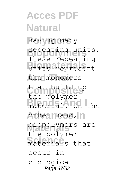**Acces PDF Natural Polymers** having many **Biopolymers** repeating units. **Biomaterials** units represent the monomers that buildeup material. On the other hand, n **Materials** biopolymers are **Science** materials that These repeating the polymer the polymer occur in biological Page 37/52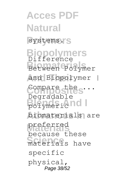**Acces PDF Natural** systems.<sup>'</sup>S **Biopolymers Biomaterials** Between Polymer and Biopolymer | **Composites** Compare the ... **Blends And I** polymeric **Advances In** biomaterials are **Materials** preferred materials have Difference Degradable because these specific physical, Page 38/52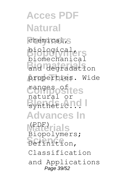**Acces PDF Natural** chemical, S **Biopolymers** biomechanical **Biomaterials** and degradation properties. Wide **Composites** ranges of Bynthetic.no **Advances In** M<sup>PDF</sup>erials **Science** Definition, biological, natural or Biopolymers; Classification and Applications Page 39/52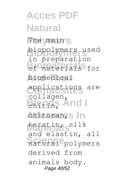**Acces PDF Natural** The <sub>main's</sub> **Biopolymers** in preparation **Biomaterials** of materials for **And Their** biomedical **Composites** applications are **Bhiting** And I chitosan, S In keratin, s<sup>ilk</sup> natural polymers biopolymers used collagen, and elastin, all derived from animals body. Page 40/52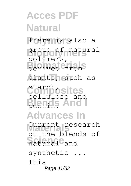### **Acces PDF Natural** There is also a **Biopolymers** group of natural derived from plants, such as **Composites** starch, **Bletting And I Advances In** Current research **Science Signal** polymers, cellulose and on the blends of synthetic ... This Page 41/52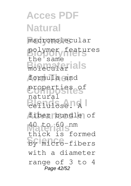**Acces PDF Natural Polymers** macromolecular polymer features **Biography And Their** formula and **Composites** properties of Bellulose. A fiber bundle of **Materials** 40 to 60 nm **Science** by micro-fibers the same natural thick is formed with a diameter range of 3 to 4 Page 42/52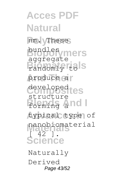**Acces PDF Natural Polymers** nm. These **Biopolymers** bundles randomly tols produce a **Composites** developed Forming and I **Advances In** typical type of nanobiomaterial<br>
<sup>1</sup> **Science** aggregate structure  $\frac{1}{42}$  1 Naturally

Derived Page 43/52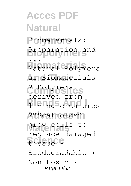**Acces PDF Natural Polymers** Biomaterials: **Biopolymers** Preparation and **Biomal** Polym **And Their** as Biomaterials **Composites** ? Polymers Blends From **Advances In** ?"Scaffolds" **Materials** grow cells to **Science** tissue • ... Natural Polymers derived from replace damaged Biodegradable • Non-toxic • Page 44/52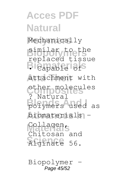**Acces PDF Natural** Mechanically **Biopolymers** similar to the **Bi**Capable of **And Their** attachment with **Composites** other molecules **Blymers** used as **Advances In** biomaterials – **Materials** Collagen, **Science** Alginate 56. replaced tissue ? Natural Chitosan and

Biopolymer - Page 45/52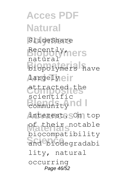### **Acces PDF Natural Polymers** SlideShare **Biopolymers** Recently, **Biomaterials** biopolymers have *Aargelyeir* **Composites** attracted the **Blendsfilm Advances In** interest. On top **Materials** of their notable and biodegradabi natural scientific biocompatibility lity, natural occurring Page 46/52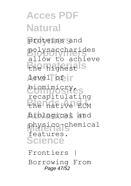**Acces PDF Natural Polymers** proteins and **Biopolymers** polysaccharides **Biomaterials** the highest level of  $\|$ **Composites** biomimicry, **Blends And I** the native ECM **Advances In** biological and **Materials** physico-chemical **Science** allow to achieve recapitulating features. Frontiers | Borrowing From

Page 47/52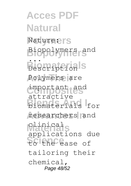**Acces PDF Natural Natureers Biopolymers** Biopolymers and **Biomaterials** Polymers are **Composites** important and **Blends And I** biomaterials for researchers and **Materials** clinical **Science** to the ease of ... Description attractive applications due tailoring their chemical, Page 48/52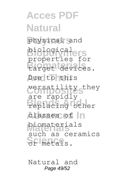**Acces PDF Natural Polymers** physical and **Biopolymers** properties for **Biomaterials** target devices. Due to this **Composites** versatility they **Blends And I** replacing other classes of  $|n$ **Materials** biomaterials **Science** or metals. biological are rapidly such as ceramics

Natural and Page 49/52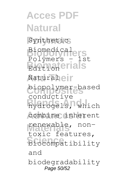**Acces PDF Natural** Synthetic **Biopolymers** Biomedical **Biomaterials Naturaheir Composites** biopolymer-based **Blends And I** hydrogels, which combine inherent renewable, non-<br>toxic features, **Science** biocompatibility Polymers - 1st conductive renewable, nonand biodegradability Page 50/52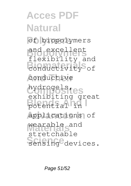## **Acces PDF Natural Polymers** of biopolymers **Biopolymers** flexibility and **Biomaterials** conductivity of conductive **Composites** hydrogels, **Blends And I** potential in **Advances In** applications of **Materials** wearable and sensing devices. and excellent exhibiting great stretchable